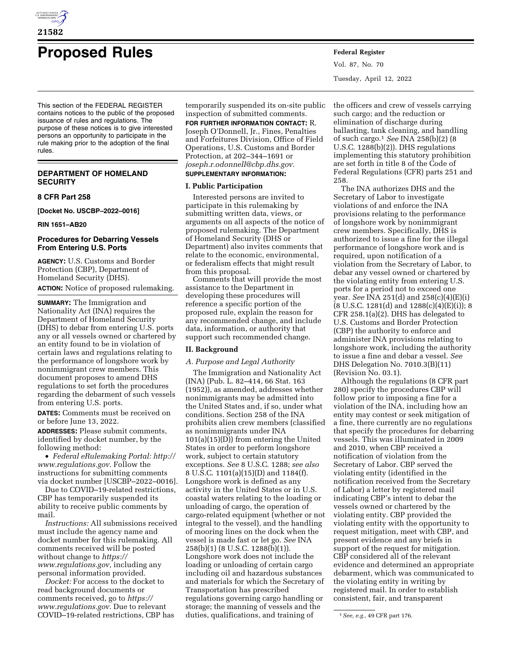

# **Proposed Rules Federal Register**

This section of the FEDERAL REGISTER contains notices to the public of the proposed issuance of rules and regulations. The purpose of these notices is to give interested persons an opportunity to participate in the rule making prior to the adoption of the final rules.

# **DEPARTMENT OF HOMELAND SECURITY**

#### **8 CFR Part 258**

**[Docket No. USCBP–2022–0016]** 

**RIN 1651–AB20** 

# **Procedures for Debarring Vessels From Entering U.S. Ports**

**AGENCY:** U.S. Customs and Border Protection (CBP), Department of Homeland Security (DHS). **ACTION:** Notice of proposed rulemaking.

**SUMMARY:** The Immigration and Nationality Act (INA) requires the Department of Homeland Security (DHS) to debar from entering U.S. ports any or all vessels owned or chartered by an entity found to be in violation of certain laws and regulations relating to the performance of longshore work by nonimmigrant crew members. This document proposes to amend DHS regulations to set forth the procedures regarding the debarment of such vessels from entering U.S. ports.

**DATES:** Comments must be received on or before June 13, 2022.

**ADDRESSES:** Please submit comments, identified by docket number, by the following method:

• *Federal eRulemaking Portal: [http://](http://www.regulations.gov)  [www.regulations.gov](http://www.regulations.gov)*. Follow the instructions for submitting comments via docket number [USCBP–2022–0016].

Due to COVID–19-related restrictions, CBP has temporarily suspended its ability to receive public comments by mail.

*Instructions:* All submissions received must include the agency name and docket number for this rulemaking. All comments received will be posted without change to *[https://](https://www.regulations.gov) [www.regulations.gov,](https://www.regulations.gov)* including any personal information provided.

*Docket:* For access to the docket to read background documents or comments received, go to *[https://](https://www.regulations.gov) [www.regulations.gov](https://www.regulations.gov)*. Due to relevant COVID–19-related restrictions, CBP has

temporarily suspended its on-site public inspection of submitted comments. **FOR FURTHER INFORMATION CONTACT:** R. Joseph O'Donnell, Jr., Fines, Penalties and Forfeitures Division, Office of Field Operations, U.S. Customs and Border Protection, at 202–344–1691 or *[joseph.r.odonnell@cbp.dhs.gov](mailto:joseph.r.odonnell@cbp.dhs.gov)*. **SUPPLEMENTARY INFORMATION:** 

#### **I. Public Participation**

Interested persons are invited to participate in this rulemaking by submitting written data, views, or arguments on all aspects of the notice of proposed rulemaking. The Department of Homeland Security (DHS or Department) also invites comments that relate to the economic, environmental, or federalism effects that might result from this proposal.

Comments that will provide the most assistance to the Department in developing these procedures will reference a specific portion of the proposed rule, explain the reason for any recommended change, and include data, information, or authority that support such recommended change.

# **II. Background**

# *A. Purpose and Legal Authority*

The Immigration and Nationality Act (INA) (Pub. L. 82–414, 66 Stat. 163 (1952)), as amended, addresses whether nonimmigrants may be admitted into the United States and, if so, under what conditions. Section 258 of the INA prohibits alien crew members (classified as nonimmigrants under INA 101(a)(15)(D)) from entering the United States in order to perform longshore work, subject to certain statutory exceptions. *See* 8 U.S.C. 1288; *see also*  8 U.S.C. 1101(a)(15)(D) and 1184(f). Longshore work is defined as any activity in the United States or in U.S. coastal waters relating to the loading or unloading of cargo, the operation of cargo-related equipment (whether or not integral to the vessel), and the handling of mooring lines on the dock when the vessel is made fast or let go. *See* INA 258(b)(1) (8 U.S.C. 1288(b)(1)). Longshore work does not include the loading or unloading of certain cargo including oil and hazardous substances and materials for which the Secretary of Transportation has prescribed regulations governing cargo handling or storage; the manning of vessels and the duties, qualifications, and training of

Vol. 87, No. 70 Tuesday, April 12, 2022

the officers and crew of vessels carrying such cargo; and the reduction or elimination of discharge during ballasting, tank cleaning, and handling of such cargo.1 *See* INA 258(b)(2) (8 U.S.C. 1288(b)(2)). DHS regulations implementing this statutory prohibition are set forth in title 8 of the Code of Federal Regulations (CFR) parts 251 and 258.

The INA authorizes DHS and the Secretary of Labor to investigate violations of and enforce the INA provisions relating to the performance of longshore work by nonimmigrant crew members. Specifically, DHS is authorized to issue a fine for the illegal performance of longshore work and is required, upon notification of a violation from the Secretary of Labor, to debar any vessel owned or chartered by the violating entity from entering U.S. ports for a period not to exceed one year. *See* INA 251(d) and 258(c)(4)(E)(i)  $(8 \text{ U.S.C. } 1281\text{ (d) and } 1288\text{ (c) (4) (E) (i)}); 8$ CFR 258.1(a)(2). DHS has delegated to U.S. Customs and Border Protection (CBP) the authority to enforce and administer INA provisions relating to longshore work, including the authority to issue a fine and debar a vessel. *See*  DHS Delegation No. 7010.3(B)(11) (Revision No. 03.1).

Although the regulations (8 CFR part 280) specify the procedures CBP will follow prior to imposing a fine for a violation of the INA, including how an entity may contest or seek mitigation of a fine, there currently are no regulations that specify the procedures for debarring vessels. This was illuminated in 2009 and 2010, when CBP received a notification of violation from the Secretary of Labor. CBP served the violating entity (identified in the notification received from the Secretary of Labor) a letter by registered mail indicating CBP's intent to debar the vessels owned or chartered by the violating entity. CBP provided the violating entity with the opportunity to request mitigation, meet with CBP, and present evidence and any briefs in support of the request for mitigation. CBP considered all of the relevant evidence and determined an appropriate debarment, which was communicated to the violating entity in writing by registered mail. In order to establish consistent, fair, and transparent

<sup>1</sup>*See, e.g.,* 49 CFR part 176.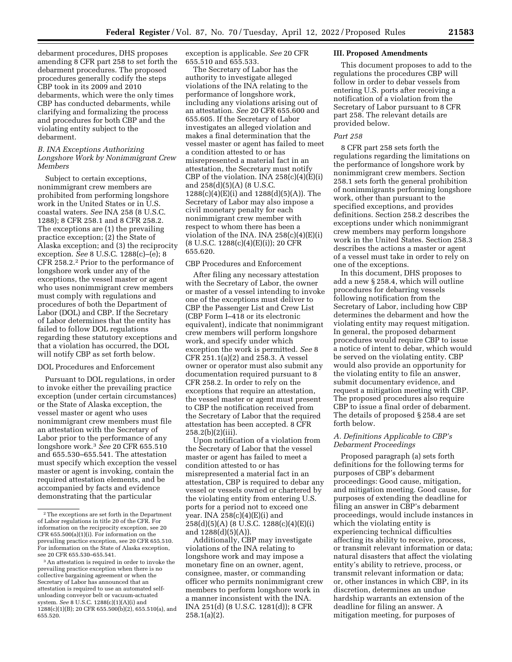debarment procedures, DHS proposes amending 8 CFR part 258 to set forth the debarment procedures. The proposed procedures generally codify the steps CBP took in its 2009 and 2010 debarments, which were the only times CBP has conducted debarments, while clarifying and formalizing the process and procedures for both CBP and the violating entity subject to the debarment.

#### *B. INA Exceptions Authorizing Longshore Work by Nonimmigrant Crew Members*

Subject to certain exceptions, nonimmigrant crew members are prohibited from performing longshore work in the United States or in U.S. coastal waters. *See* INA 258 (8 U.S.C. 1288); 8 CFR 258.1 and 8 CFR 258.2. The exceptions are (1) the prevailing practice exception; (2) the State of Alaska exception; and (3) the reciprocity exception. *See* 8 U.S.C. 1288(c)–(e); 8 CFR 258.2.2 Prior to the performance of longshore work under any of the exceptions, the vessel master or agent who uses nonimmigrant crew members must comply with regulations and procedures of both the Department of Labor (DOL) and CBP. If the Secretary of Labor determines that the entity has failed to follow DOL regulations regarding these statutory exceptions and that a violation has occurred, the DOL will notify CBP as set forth below.

#### DOL Procedures and Enforcement

Pursuant to DOL regulations, in order to invoke either the prevailing practice exception (under certain circumstances) or the State of Alaska exception, the vessel master or agent who uses nonimmigrant crew members must file an attestation with the Secretary of Labor prior to the performance of any longshore work.3 *See* 20 CFR 655.510 and 655.530–655.541. The attestation must specify which exception the vessel master or agent is invoking, contain the required attestation elements, and be accompanied by facts and evidence demonstrating that the particular

exception is applicable. *See* 20 CFR 655.510 and 655.533.

The Secretary of Labor has the authority to investigate alleged violations of the INA relating to the performance of longshore work, including any violations arising out of an attestation. *See* 20 CFR 655.600 and 655.605. If the Secretary of Labor investigates an alleged violation and makes a final determination that the vessel master or agent has failed to meet a condition attested to or has misrepresented a material fact in an attestation, the Secretary must notify CBP of the violation. INA  $258(c)(4)(E)(i)$ and 258(d)(5)(A) (8 U.S.C. 1288(c)(4)(E)(i) and 1288(d)(5)(A)). The Secretary of Labor may also impose a civil monetary penalty for each nonimmigrant crew member with respect to whom there has been a violation of the INA. INA  $258(c)(4)(E)(i)$ (8 U.S.C. 1288(c)(4)(E)(i)); 20 CFR 655.620.

# CBP Procedures and Enforcement

After filing any necessary attestation with the Secretary of Labor, the owner or master of a vessel intending to invoke one of the exceptions must deliver to CBP the Passenger List and Crew List (CBP Form I–418 or its electronic equivalent), indicate that nonimmigrant crew members will perform longshore work, and specify under which exception the work is permitted. *See* 8 CFR 251.1(a)(2) and 258.3. A vessel owner or operator must also submit any documentation required pursuant to 8 CFR 258.2. In order to rely on the exceptions that require an attestation, the vessel master or agent must present to CBP the notification received from the Secretary of Labor that the required attestation has been accepted. 8 CFR 258.2(b)(2)(iii).

Upon notification of a violation from the Secretary of Labor that the vessel master or agent has failed to meet a condition attested to or has misrepresented a material fact in an attestation, CBP is required to debar any vessel or vessels owned or chartered by the violating entity from entering U.S. ports for a period not to exceed one year. INA  $258(c)(4)(E)(i)$  and 258(d)(5)(A) (8 U.S.C. 1288(c)(4)(E)(i) and  $1288(d)(5)(A)$ ).

Additionally, CBP may investigate violations of the INA relating to longshore work and may impose a monetary fine on an owner, agent, consignee, master, or commanding officer who permits nonimmigrant crew members to perform longshore work in a manner inconsistent with the INA. INA 251(d) (8 U.S.C. 1281(d)); 8 CFR  $258.1(a)(2)$ .

#### **III. Proposed Amendments**

This document proposes to add to the regulations the procedures CBP will follow in order to debar vessels from entering U.S. ports after receiving a notification of a violation from the Secretary of Labor pursuant to 8 CFR part 258. The relevant details are provided below.

## *Part 258*

8 CFR part 258 sets forth the regulations regarding the limitations on the performance of longshore work by nonimmigrant crew members. Section 258.1 sets forth the general prohibition of nonimmigrants performing longshore work, other than pursuant to the specified exceptions, and provides definitions. Section 258.2 describes the exceptions under which nonimmigrant crew members may perform longshore work in the United States. Section 258.3 describes the actions a master or agent of a vessel must take in order to rely on one of the exceptions.

In this document, DHS proposes to add a new § 258.4, which will outline procedures for debarring vessels following notification from the Secretary of Labor, including how CBP determines the debarment and how the violating entity may request mitigation. In general, the proposed debarment procedures would require CBP to issue a notice of intent to debar, which would be served on the violating entity. CBP would also provide an opportunity for the violating entity to file an answer, submit documentary evidence, and request a mitigation meeting with CBP. The proposed procedures also require CBP to issue a final order of debarment. The details of proposed § 258.4 are set forth below.

#### *A. Definitions Applicable to CBP's Debarment Proceedings*

Proposed paragraph (a) sets forth definitions for the following terms for purposes of CBP's debarment proceedings: Good cause, mitigation, and mitigation meeting. Good cause, for purposes of extending the deadline for filing an answer in CBP's debarment proceedings, would include instances in which the violating entity is experiencing technical difficulties affecting its ability to receive, process, or transmit relevant information or data; natural disasters that affect the violating entity's ability to retrieve, process, or transmit relevant information or data; or, other instances in which CBP, in its discretion, determines an undue hardship warrants an extension of the deadline for filing an answer. A mitigation meeting, for purposes of

<sup>2</sup>The exceptions are set forth in the Department of Labor regulations in title 20 of the CFR. For information on the reciprocity exception, see 20 CFR 655.500(a)(1)(i). For information on the prevailing practice exception, see 20 CFR 655.510. For information on the State of Alaska exception, see 20 CFR 655.530–655.541.

<sup>3</sup>An attestation is required in order to invoke the prevailing practice exception when there is no collective bargaining agreement or when the Secretary of Labor has announced that an attestation is required to use an automated selfunloading conveyor belt or vacuum-actuated system. *See* 8 U.S.C. 1288(c)(1)(A)(i) and 1288(c)(1)(B); 20 CFR 655.500(b)(2), 655.510(a), and 655.520.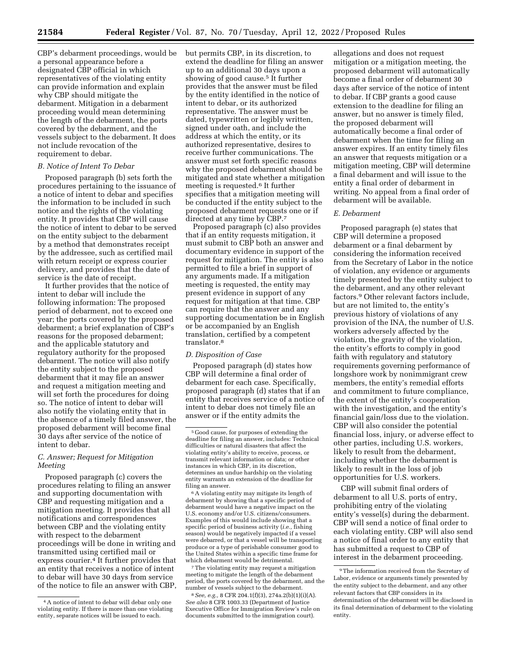CBP's debarment proceedings, would be a personal appearance before a designated CBP official in which representatives of the violating entity can provide information and explain why CBP should mitigate the debarment. Mitigation in a debarment proceeding would mean determining the length of the debarment, the ports covered by the debarment, and the vessels subject to the debarment. It does not include revocation of the requirement to debar.

#### *B. Notice of Intent To Debar*

Proposed paragraph (b) sets forth the procedures pertaining to the issuance of a notice of intent to debar and specifies the information to be included in such notice and the rights of the violating entity. It provides that CBP will cause the notice of intent to debar to be served on the entity subject to the debarment by a method that demonstrates receipt by the addressee, such as certified mail with return receipt or express courier delivery, and provides that the date of service is the date of receipt.

It further provides that the notice of intent to debar will include the following information: The proposed period of debarment, not to exceed one year; the ports covered by the proposed debarment; a brief explanation of CBP's reasons for the proposed debarment; and the applicable statutory and regulatory authority for the proposed debarment. The notice will also notify the entity subject to the proposed debarment that it may file an answer and request a mitigation meeting and will set forth the procedures for doing so. The notice of intent to debar will also notify the violating entity that in the absence of a timely filed answer, the proposed debarment will become final 30 days after service of the notice of intent to debar.

# *C. Answer; Request for Mitigation Meeting*

Proposed paragraph (c) covers the procedures relating to filing an answer and supporting documentation with CBP and requesting mitigation and a mitigation meeting. It provides that all notifications and correspondences between CBP and the violating entity with respect to the debarment proceedings will be done in writing and transmitted using certified mail or express courier.4 It further provides that an entity that receives a notice of intent to debar will have 30 days from service of the notice to file an answer with CBP, but permits CBP, in its discretion, to extend the deadline for filing an answer up to an additional 30 days upon a showing of good cause.5 It further provides that the answer must be filed by the entity identified in the notice of intent to debar, or its authorized representative. The answer must be dated, typewritten or legibly written, signed under oath, and include the address at which the entity, or its authorized representative, desires to receive further communications. The answer must set forth specific reasons why the proposed debarment should be mitigated and state whether a mitigation meeting is requested.6 It further specifies that a mitigation meeting will be conducted if the entity subject to the proposed debarment requests one or if directed at any time by CBP.7

Proposed paragraph (c) also provides that if an entity requests mitigation, it must submit to CBP both an answer and documentary evidence in support of the request for mitigation. The entity is also permitted to file a brief in support of any arguments made. If a mitigation meeting is requested, the entity may present evidence in support of any request for mitigation at that time. CBP can require that the answer and any supporting documentation be in English or be accompanied by an English translation, certified by a competent translator.8

#### *D. Disposition of Case*

Proposed paragraph (d) states how CBP will determine a final order of debarment for each case. Specifically, proposed paragraph (d) states that if an entity that receives service of a notice of intent to debar does not timely file an answer or if the entity admits the

6A violating entity may mitigate its length of debarment by showing that a specific period of debarment would have a negative impact on the U.S. economy and/or U.S. citizens/consumers. Examples of this would include showing that a specific period of business activity (*i.e.,* fishing season) would be negatively impacted if a vessel were debarred, or that a vessel will be transporting produce or a type of perishable consumer good to the United States within a specific time frame for which debarment would be detrimental.

7The violating entity may request a mitigation meeting to mitigate the length of the debarment period, the ports covered by the debarment, and the number of vessels subject to the debarment.

8*See, e.g.,* 8 CFR 204.1(f)(3), 274a.2(b)(1)(i)(A). *See also* 8 CFR 1003.33 (Department of Justice Executive Office for Immigration Review's rule on documents submitted to the immigration court).

allegations and does not request mitigation or a mitigation meeting, the proposed debarment will automatically become a final order of debarment 30 days after service of the notice of intent to debar. If CBP grants a good cause extension to the deadline for filing an answer, but no answer is timely filed, the proposed debarment will automatically become a final order of debarment when the time for filing an answer expires. If an entity timely files an answer that requests mitigation or a mitigation meeting, CBP will determine a final debarment and will issue to the entity a final order of debarment in writing. No appeal from a final order of debarment will be available.

#### *E. Debarment*

Proposed paragraph (e) states that CBP will determine a proposed debarment or a final debarment by considering the information received from the Secretary of Labor in the notice of violation, any evidence or arguments timely presented by the entity subject to the debarment, and any other relevant factors.9 Other relevant factors include, but are not limited to, the entity's previous history of violations of any provision of the INA, the number of U.S. workers adversely affected by the violation, the gravity of the violation, the entity's efforts to comply in good faith with regulatory and statutory requirements governing performance of longshore work by nonimmigrant crew members, the entity's remedial efforts and commitment to future compliance, the extent of the entity's cooperation with the investigation, and the entity's financial gain/loss due to the violation. CBP will also consider the potential financial loss, injury, or adverse effect to other parties, including U.S. workers, likely to result from the debarment, including whether the debarment is likely to result in the loss of job opportunities for U.S. workers.

CBP will submit final orders of debarment to all U.S. ports of entry, prohibiting entry of the violating entity's vessel(s) during the debarment. CBP will send a notice of final order to each violating entity. CBP will also send a notice of final order to any entity that has submitted a request to CBP of interest in the debarment proceeding.

<sup>4</sup>A notice of intent to debar will debar only one violating entity. If there is more than one violating entity, separate notices will be issued to each.

<sup>5</sup> Good cause, for purposes of extending the deadline for filing an answer, includes: Technical difficulties or natural disasters that affect the violating entity's ability to receive, process, or transmit relevant information or data; or other instances in which CBP, in its discretion, determines an undue hardship on the violating entity warrants an extension of the deadline for filing an answer.

<sup>9</sup>The information received from the Secretary of Labor, evidence or arguments timely presented by the entity subject to the debarment, and any other relevant factors that CBP considers in its determination of the debarment will be disclosed in its final determination of debarment to the violating entity.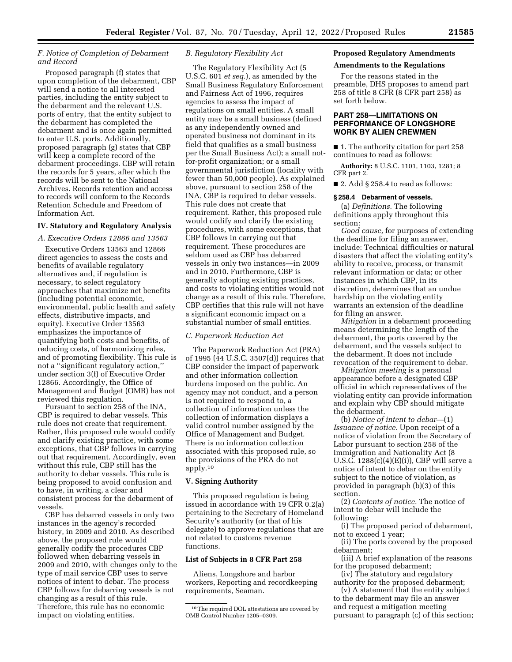# *F. Notice of Completion of Debarment and Record*

Proposed paragraph (f) states that upon completion of the debarment, CBP will send a notice to all interested parties, including the entity subject to the debarment and the relevant U.S. ports of entry, that the entity subject to the debarment has completed the debarment and is once again permitted to enter U.S. ports. Additionally, proposed paragraph (g) states that CBP will keep a complete record of the debarment proceedings. CBP will retain the records for 5 years, after which the records will be sent to the National Archives. Records retention and access to records will conform to the Records Retention Schedule and Freedom of Information Act.

#### **IV. Statutory and Regulatory Analysis**

#### *A. Executive Orders 12866 and 13563*

Executive Orders 13563 and 12866 direct agencies to assess the costs and benefits of available regulatory alternatives and, if regulation is necessary, to select regulatory approaches that maximize net benefits (including potential economic, environmental, public health and safety effects, distributive impacts, and equity). Executive Order 13563 emphasizes the importance of quantifying both costs and benefits, of reducing costs, of harmonizing rules, and of promoting flexibility. This rule is not a ''significant regulatory action,'' under section 3(f) of Executive Order 12866. Accordingly, the Office of Management and Budget (OMB) has not reviewed this regulation.

Pursuant to section 258 of the INA, CBP is required to debar vessels. This rule does not create that requirement. Rather, this proposed rule would codify and clarify existing practice, with some exceptions, that CBP follows in carrying out that requirement. Accordingly, even without this rule, CBP still has the authority to debar vessels. This rule is being proposed to avoid confusion and to have, in writing, a clear and consistent process for the debarment of vessels.

CBP has debarred vessels in only two instances in the agency's recorded history, in 2009 and 2010. As described above, the proposed rule would generally codify the procedures CBP followed when debarring vessels in 2009 and 2010, with changes only to the type of mail service CBP uses to serve notices of intent to debar. The process CBP follows for debarring vessels is not changing as a result of this rule. Therefore, this rule has no economic impact on violating entities.

#### *B. Regulatory Flexibility Act*

The Regulatory Flexibility Act (5 U.S.C. 601 *et seq.*), as amended by the Small Business Regulatory Enforcement and Fairness Act of 1996, requires agencies to assess the impact of regulations on small entities. A small entity may be a small business (defined as any independently owned and operated business not dominant in its field that qualifies as a small business per the Small Business Act); a small notfor-profit organization; or a small governmental jurisdiction (locality with fewer than 50,000 people). As explained above, pursuant to section 258 of the INA, CBP is required to debar vessels. This rule does not create that requirement. Rather, this proposed rule would codify and clarify the existing procedures, with some exceptions, that CBP follows in carrying out that requirement. These procedures are seldom used as CBP has debarred vessels in only two instances—in 2009 and in 2010. Furthermore, CBP is generally adopting existing practices, and costs to violating entities would not change as a result of this rule. Therefore, CBP certifies that this rule will not have a significant economic impact on a substantial number of small entities.

#### *C. Paperwork Reduction Act*

The Paperwork Reduction Act (PRA) of 1995 (44 U.S.C. 3507(d)) requires that CBP consider the impact of paperwork and other information collection burdens imposed on the public. An agency may not conduct, and a person is not required to respond to, a collection of information unless the collection of information displays a valid control number assigned by the Office of Management and Budget. There is no information collection associated with this proposed rule, so the provisions of the PRA do not apply.10

# **V. Signing Authority**

This proposed regulation is being issued in accordance with 19 CFR 0.2(a) pertaining to the Secretary of Homeland Security's authority (or that of his delegate) to approve regulations that are not related to customs revenue functions.

#### **List of Subjects in 8 CFR Part 258**

Aliens, Longshore and harbor workers, Reporting and recordkeeping requirements, Seaman.

# **Proposed Regulatory Amendments**

# **Amendments to the Regulations**

For the reasons stated in the preamble, DHS proposes to amend part 258 of title 8 CFR (8 CFR part 258) as set forth below.

#### **PART 258—LIMITATIONS ON PERFORMANCE OF LONGSHORE WORK BY ALIEN CREWMEN**

■ 1. The authority citation for part 258 continues to read as follows:

**Authority:** 8 U.S.C. 1101, 1103, 1281; 8 CFR part 2.

■ 2. Add § 258.4 to read as follows:

#### **§ 258.4 Debarment of vessels.**

(a) *Definitions.* The following definitions apply throughout this section:

*Good cause,* for purposes of extending the deadline for filing an answer, include: Technical difficulties or natural disasters that affect the violating entity's ability to receive, process, or transmit relevant information or data; or other instances in which CBP, in its discretion, determines that an undue hardship on the violating entity warrants an extension of the deadline for filing an answer.

*Mitigation* in a debarment proceeding means determining the length of the debarment, the ports covered by the debarment, and the vessels subject to the debarment. It does not include revocation of the requirement to debar.

*Mitigation meeting* is a personal appearance before a designated CBP official in which representatives of the violating entity can provide information and explain why CBP should mitigate the debarment.

(b) *Notice of intent to debar*—(1) *Issuance of notice.* Upon receipt of a notice of violation from the Secretary of Labor pursuant to section 258 of the Immigration and Nationality Act (8 U.S.C.  $1288(c)(4)(E)(i)$ , CBP will serve a notice of intent to debar on the entity subject to the notice of violation, as provided in paragraph (b)(3) of this section.

(2) *Contents of notice.* The notice of intent to debar will include the following:

(i) The proposed period of debarment, not to exceed 1 year;

(ii) The ports covered by the proposed debarment;

(iii) A brief explanation of the reasons for the proposed debarment;

(iv) The statutory and regulatory authority for the proposed debarment;

(v) A statement that the entity subject to the debarment may file an answer and request a mitigation meeting pursuant to paragraph (c) of this section;

<sup>10</sup>The required DOL attestations are covered by OMB Control Number 1205–0309.